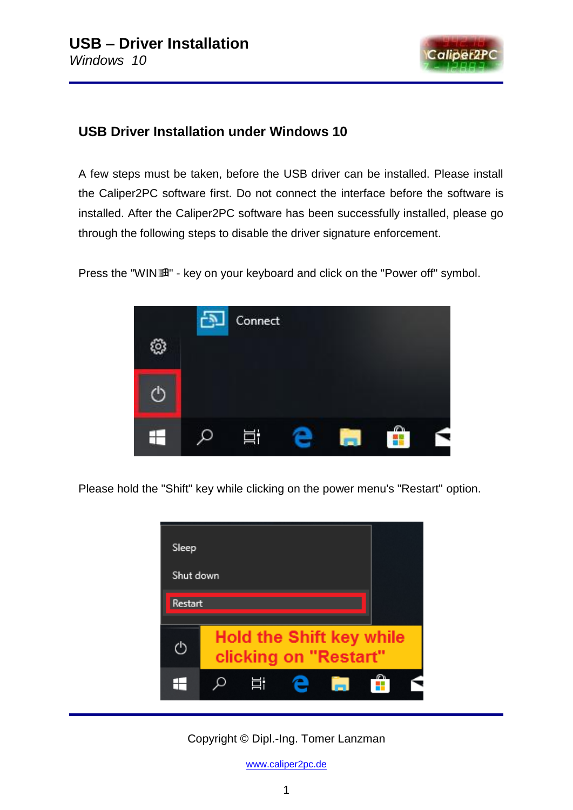

## **USB Driver Installation under Windows 10**

A few steps must be taken, before the USB driver can be installed. Please install the Caliper2PC software first. Do not connect the interface before the software is installed. After the Caliper2PC software has been successfully installed, please go through the following steps to disable the driver signature enforcement.

Press the "WINT" - key on your keyboard and click on the "Power off" symbol.



Please hold the "Shift" key while clicking on the power menu's "Restart" option.



Copyright © Dipl.-Ing. Tomer Lanzman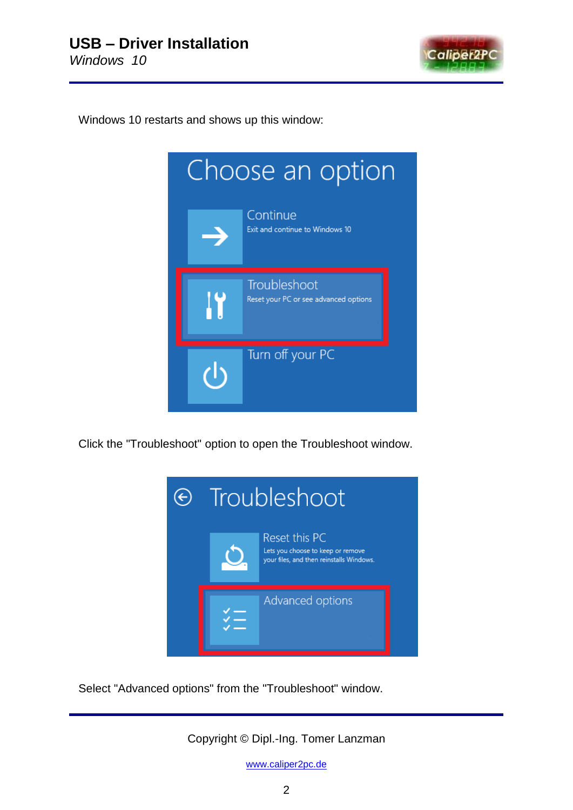

Windows 10 restarts and shows up this window:



Click the "Troubleshoot" option to open the Troubleshoot window.



Select "Advanced options" from the "Troubleshoot" window.

Copyright © Dipl.-Ing. Tomer Lanzman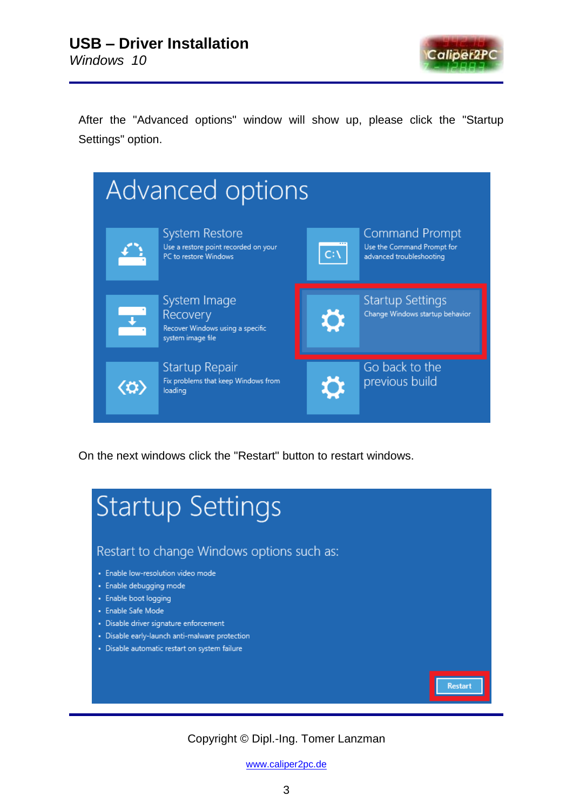

Restart

After the "Advanced options" window will show up, please click the "Startup Settings" option.

| Advanced options                      |                                                                                   |             |                                                                                 |  |  |  |
|---------------------------------------|-----------------------------------------------------------------------------------|-------------|---------------------------------------------------------------------------------|--|--|--|
|                                       | System Restore<br>Use a restore point recorded on your<br>PC to restore Windows   | $C:\Lambda$ | <b>Command Prompt</b><br>Use the Command Prompt for<br>advanced troubleshooting |  |  |  |
|                                       | System Image<br>Recovery<br>Recover Windows using a specific<br>system image file | O           | <b>Startup Settings</b><br>Change Windows startup behavior                      |  |  |  |
| $\langle \boldsymbol{\alpha} \rangle$ | Startup Repair<br>Fix problems that keep Windows from<br>loading                  |             | Go back to the<br>previous build                                                |  |  |  |

On the next windows click the "Restart" button to restart windows.

## **Startup Settings**

Restart to change Windows options such as:

- · Enable low-resolution video mode
- · Enable debugging mode
- · Enable boot logging
- · Enable Safe Mode
- · Disable driver signature enforcement
- · Disable early-launch anti-malware protection
- · Disable automatic restart on system failure

## Copyright © Dipl.-Ing. Tomer Lanzman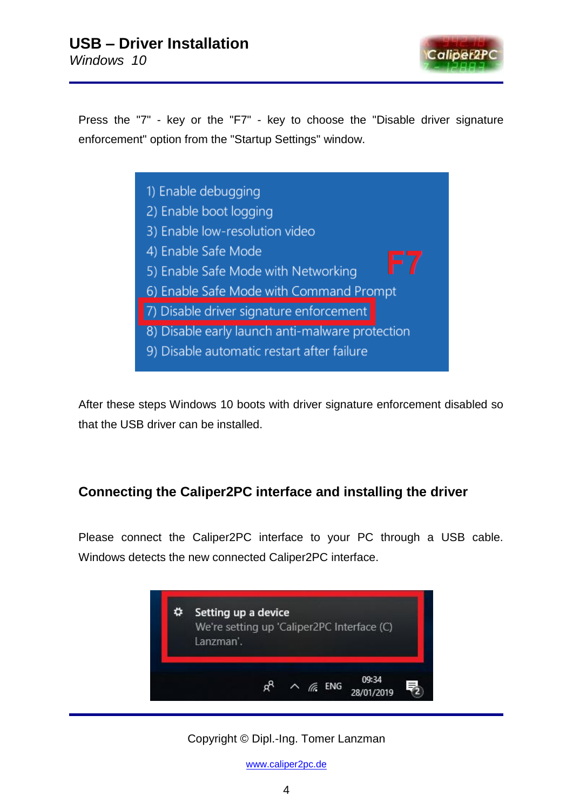

Press the "7" - key or the "F7" - key to choose the "Disable driver signature enforcement" option from the "Startup Settings" window.

> 1) Enable debugging 2) Enable boot logging 3) Enable low-resolution video 4) Enable Safe Mode 5) Enable Safe Mode with Networking 6) Enable Safe Mode with Command Prompt 7) Disable driver signature enforcement 8) Disable early launch anti-malware protection 9) Disable automatic restart after failure

After these steps Windows 10 boots with driver signature enforcement disabled so that the USB driver can be installed.

## **Connecting the Caliper2PC interface and installing the driver**

Please connect the Caliper2PC interface to your PC through a USB cable. Windows detects the new connected Caliper2PC interface.



Copyright © Dipl.-Ing. Tomer Lanzman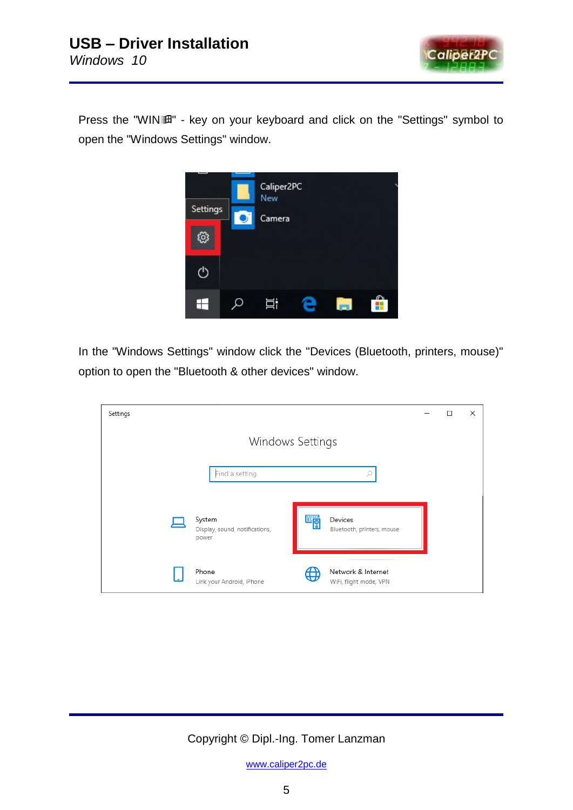

Press the "WIN" - key on your keyboard and click on the "Settings" symbol to open the "Windows Settings" window.



In the "Windows Settings" window click the "Devices (Bluetooth, printers, mouse)" option to open the "Bluetooth & other devices" window.

| Settings |                                                   |   |                                              | □ | × |
|----------|---------------------------------------------------|---|----------------------------------------------|---|---|
|          | Windows Settings                                  |   |                                              |   |   |
|          | Find a setting                                    |   | Ω                                            |   |   |
|          | System<br>Display, sound, notifications,<br>power | 瞫 | Devices<br>Bluetooth, printers, mouse        |   |   |
|          | Phone<br>Link your Android, iPhone                | ₩ | Network & Internet<br>WiFi, flight mode, VPN |   |   |

Copyright © Dipl.-Ing. Tomer Lanzman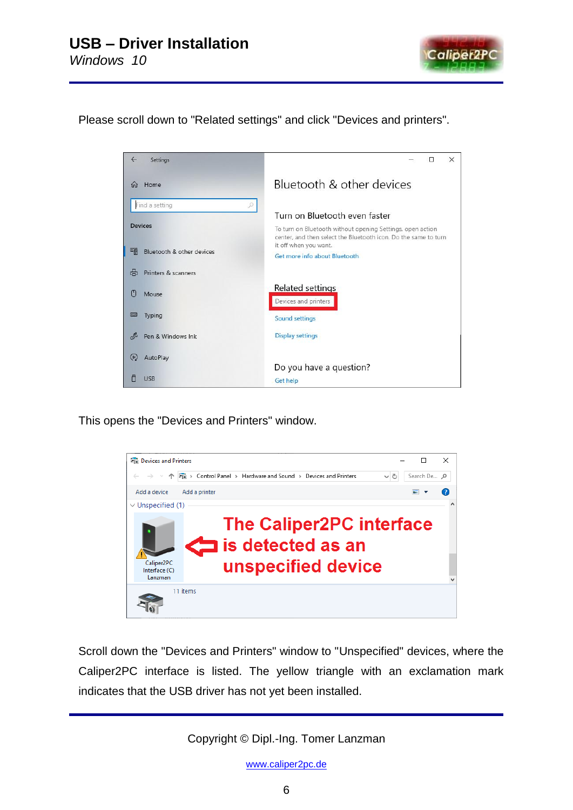

Please scroll down to "Related settings" and click "Devices and printers".



This opens the "Devices and Printers" window.



Scroll down the "Devices and Printers" window to "Unspecified" devices, where the Caliper2PC interface is listed. The yellow triangle with an exclamation mark indicates that the USB driver has not yet been installed.

Copyright © Dipl.-Ing. Tomer Lanzman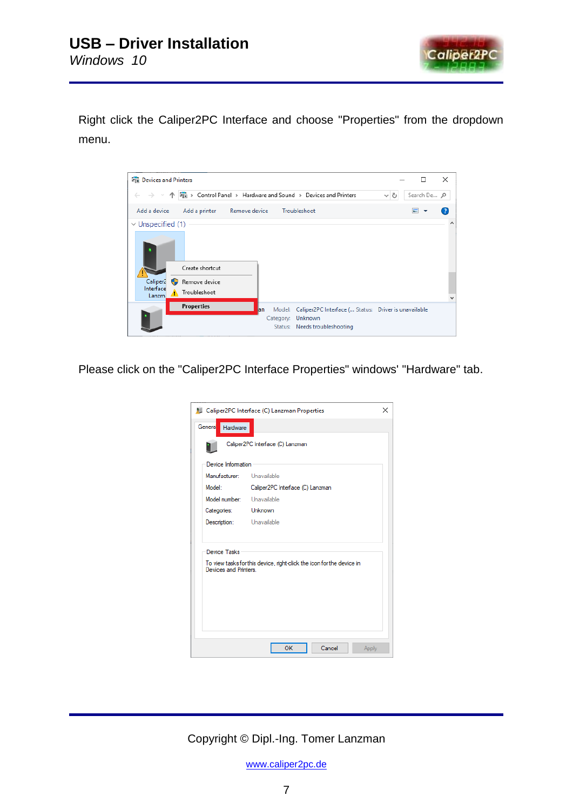

Right click the Caliper2PC Interface and choose "Properties" from the dropdown menu.



Please click on the "Caliper2PC Interface Properties" windows' "Hardware" tab.

|                                             | Caliper2PC Interface (C) Lanzman Properties<br>×                      |  |  |  |  |
|---------------------------------------------|-----------------------------------------------------------------------|--|--|--|--|
| General<br>Hardware                         |                                                                       |  |  |  |  |
|                                             | Caliper2PC Interface (C) Lanzman                                      |  |  |  |  |
| Device Information                          |                                                                       |  |  |  |  |
| Manufacturer:                               | Unavailable                                                           |  |  |  |  |
| Model:                                      | Caliper2PC Interface (C) Lanzman                                      |  |  |  |  |
| Model number:                               | Unavailable                                                           |  |  |  |  |
| Categories:                                 | Unknown                                                               |  |  |  |  |
| Description:                                | Unavailable                                                           |  |  |  |  |
| <b>Device Tasks</b><br>Devices and Printers | To view tasks for this device, right-click the icon for the device in |  |  |  |  |
|                                             | OK<br>Cancel<br>Apply                                                 |  |  |  |  |

Copyright © Dipl.-Ing. Tomer Lanzman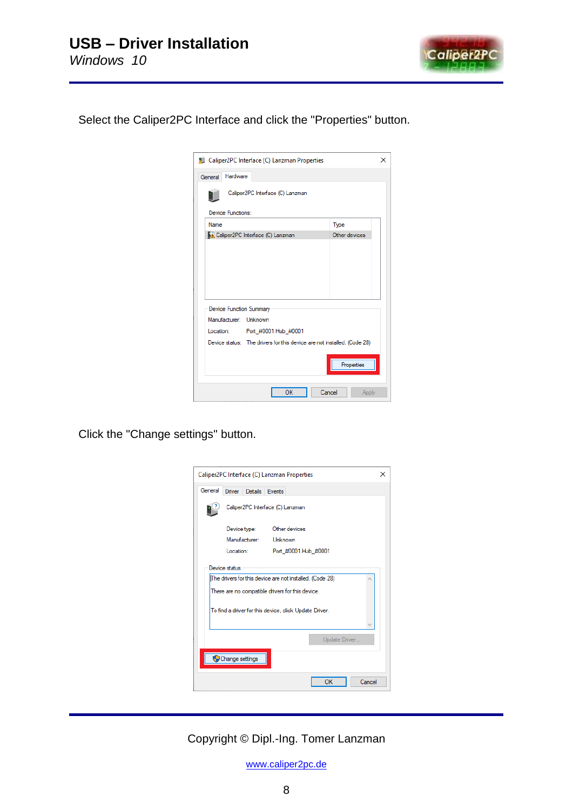

Select the Caliper2PC Interface and click the "Properties" button.

|             |                   | <b>AL</b> Caliper2PC Interface (C) Lanzman Properties                   |        |               | × |
|-------------|-------------------|-------------------------------------------------------------------------|--------|---------------|---|
| General     | Hardware          |                                                                         |        |               |   |
|             |                   | Caliper2PC Interface (C) Lanzman                                        |        |               |   |
|             | Device Functions: |                                                                         |        |               |   |
| <b>Name</b> |                   |                                                                         |        | Type          |   |
|             |                   | Caliper2PC Interface (C) Lanzman                                        |        | Other devices |   |
|             |                   |                                                                         |        |               |   |
|             |                   |                                                                         |        |               |   |
|             |                   |                                                                         |        |               |   |
|             |                   |                                                                         |        |               |   |
|             |                   |                                                                         |        |               |   |
|             |                   | <b>Device Function Summary</b>                                          |        |               |   |
|             |                   | Manufacturer: Unknown                                                   |        |               |   |
|             |                   | Location: Port #0001.Hub #0001                                          |        |               |   |
|             |                   | Device status: The drivers for this device are not installed. (Code 28) |        |               |   |
|             |                   |                                                                         |        |               |   |
|             |                   |                                                                         |        | Properties    |   |
|             |                   |                                                                         |        |               |   |
|             |                   | OK                                                                      | Cancel | Apply         |   |

Click the "Change settings" button.

|                                  | Caliper2PC Interface (C) Lanzman Properties                                                                                                                                             |                       |                       |  |  |  |
|----------------------------------|-----------------------------------------------------------------------------------------------------------------------------------------------------------------------------------------|-----------------------|-----------------------|--|--|--|
| General                          |                                                                                                                                                                                         | Driver Details Events |                       |  |  |  |
|                                  | Caliper2PC Interface (C) Lanzman                                                                                                                                                        |                       |                       |  |  |  |
|                                  |                                                                                                                                                                                         | Device type:          | Other devices         |  |  |  |
|                                  |                                                                                                                                                                                         |                       | Manufacturer: Unknown |  |  |  |
|                                  | Location:                                                                                                                                                                               |                       | Port_#0001.Hub_#0001  |  |  |  |
|                                  | Device status<br>The drivers for this device are not installed. (Code 28)<br>There are no compatible drivers for this device.<br>To find a driver for this device, click Update Driver. |                       |                       |  |  |  |
| Update Driver<br>Change settings |                                                                                                                                                                                         |                       |                       |  |  |  |
|                                  |                                                                                                                                                                                         |                       | OK<br>Cancel          |  |  |  |

Copyright © Dipl.-Ing. Tomer Lanzman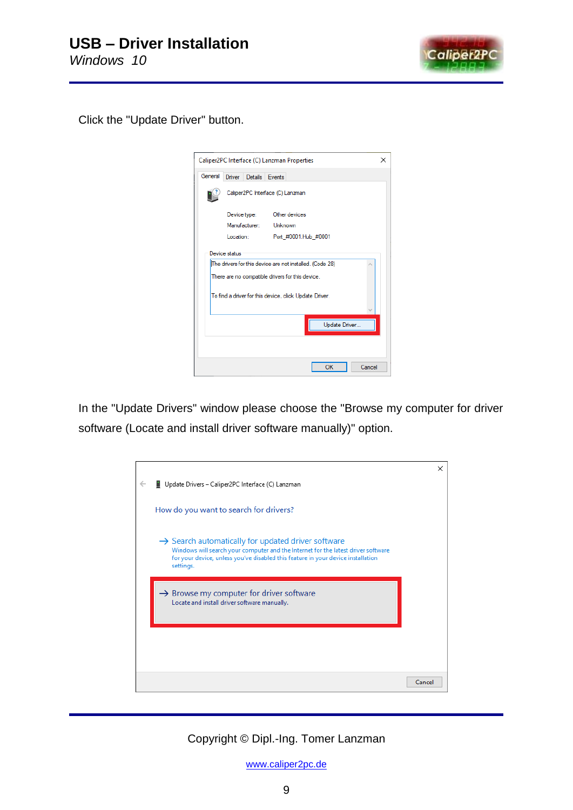

Click the "Update Driver" button.

|               | Caliper2PC Interface (C) Lanzman Properties<br>×                                                                              |                       |                      |  |  |  |
|---------------|-------------------------------------------------------------------------------------------------------------------------------|-----------------------|----------------------|--|--|--|
| General       |                                                                                                                               | Driver Details Events |                      |  |  |  |
|               | Caliper2PC Interface (C) Lanzman                                                                                              |                       |                      |  |  |  |
|               |                                                                                                                               | Device type:          | Other devices        |  |  |  |
|               |                                                                                                                               | Manufacturer:         | Unknown              |  |  |  |
|               | Location:                                                                                                                     |                       | Port #0001.Hub #0001 |  |  |  |
|               | Device status<br>The drivers for this device are not installed. (Code 28)<br>There are no compatible drivers for this device. |                       |                      |  |  |  |
|               | To find a driver for this device, click Update Driver.                                                                        |                       |                      |  |  |  |
| Update Driver |                                                                                                                               |                       |                      |  |  |  |
|               |                                                                                                                               |                       |                      |  |  |  |
|               |                                                                                                                               |                       | OK<br>Cancel         |  |  |  |

In the "Update Drivers" window please choose the "Browse my computer for driver software (Locate and install driver software manually)" option.

|                                                                                   | ×                                                                                                                                                                                        |
|-----------------------------------------------------------------------------------|------------------------------------------------------------------------------------------------------------------------------------------------------------------------------------------|
| Update Drivers - Caliper2PC Interface (C) Lanzman                                 |                                                                                                                                                                                          |
|                                                                                   |                                                                                                                                                                                          |
| How do you want to search for drivers?                                            |                                                                                                                                                                                          |
|                                                                                   |                                                                                                                                                                                          |
| $\rightarrow$ Search automatically for updated driver software                    |                                                                                                                                                                                          |
| Windows will search your computer and the Internet for the latest driver software |                                                                                                                                                                                          |
| settings.                                                                         |                                                                                                                                                                                          |
|                                                                                   |                                                                                                                                                                                          |
|                                                                                   |                                                                                                                                                                                          |
|                                                                                   |                                                                                                                                                                                          |
|                                                                                   |                                                                                                                                                                                          |
|                                                                                   |                                                                                                                                                                                          |
|                                                                                   |                                                                                                                                                                                          |
|                                                                                   |                                                                                                                                                                                          |
|                                                                                   | Cancel                                                                                                                                                                                   |
|                                                                                   | for your device, unless you've disabled this feature in your device installation<br>$\rightarrow$ Browse my computer for driver software<br>Locate and install driver software manually. |

Copyright © Dipl.-Ing. Tomer Lanzman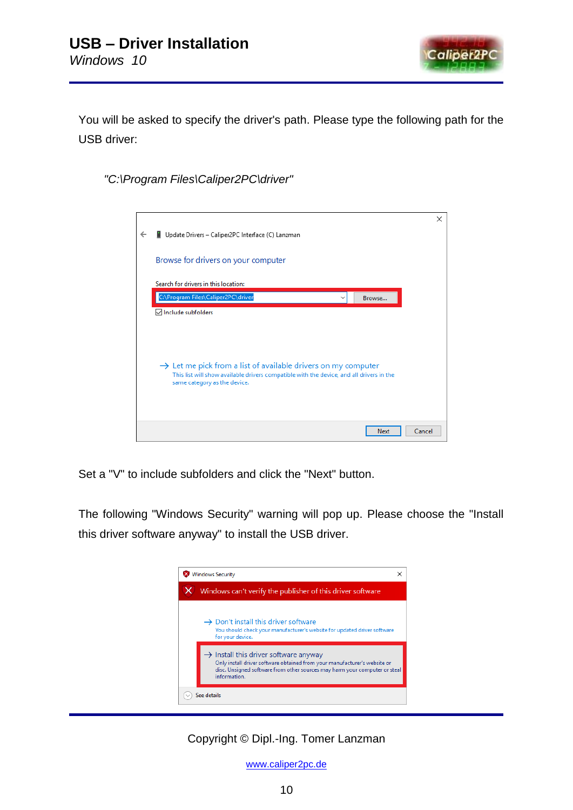

You will be asked to specify the driver's path. Please type the following path for the USB driver:

*"C:\Program Files\Caliper2PC\driver"*



Set a "V" to include subfolders and click the "Next" button.

The following "Windows Security" warning will pop up. Please choose the "Install this driver software anyway" to install the USB driver.



Copyright © Dipl.-Ing. Tomer Lanzman